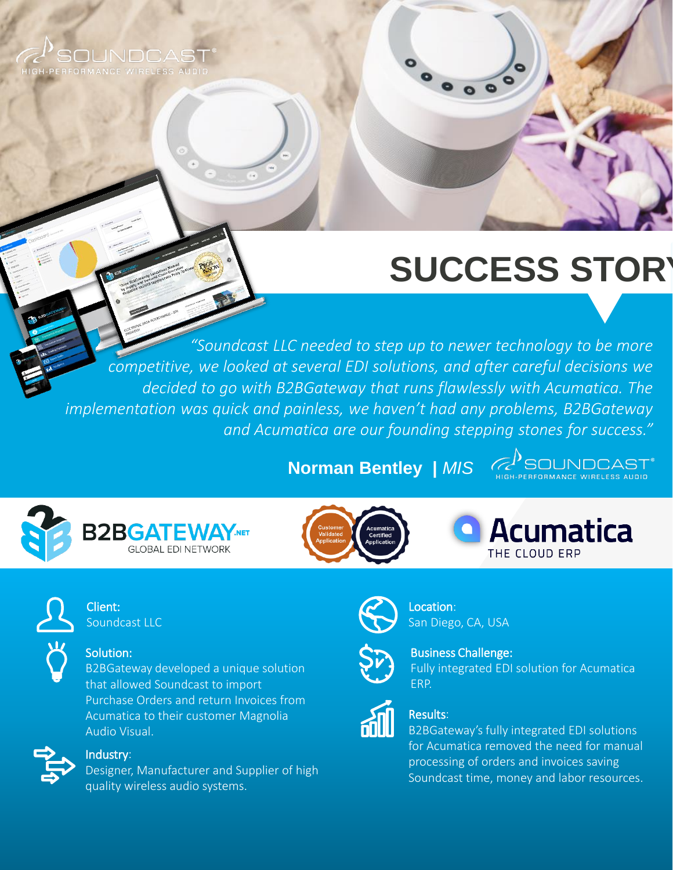

# **SUCCESS STORY**

 $\circ$ 

decided to go with B2BGateway that runs flawlessly with Acumatica. The *"Soundcast LLC needed to step up to newer technology to be more competitive, we looked at several EDI solutions, and after careful decisions we implementation was quick and painless, we haven't had any problems, B2BGateway and Acumatica are our founding stepping stones for success."*

**Norman Bentley |** *MIS*





**Acumatica** THE CLOUD ERP



#### Client: Soundcast LLC

### Solution:

B2BGateway developed a unique solution that allowed Soundcast to import Purchase Orders and return Invoices from Acumatica to their customer Magnolia Audio Visual.



#### Industry:

Designer, Manufacturer and Supplier of high quality wireless audio systems.



## Location:



## San Diego, CA, USA

Business Challenge: Fully integrated EDI solution for Acumatica ERP.

#### Results:

B2BGateway's fully integrated EDI solutions for Acumatica removed the need for manual processing of orders and invoices saving Soundcast time, money and labor resources.